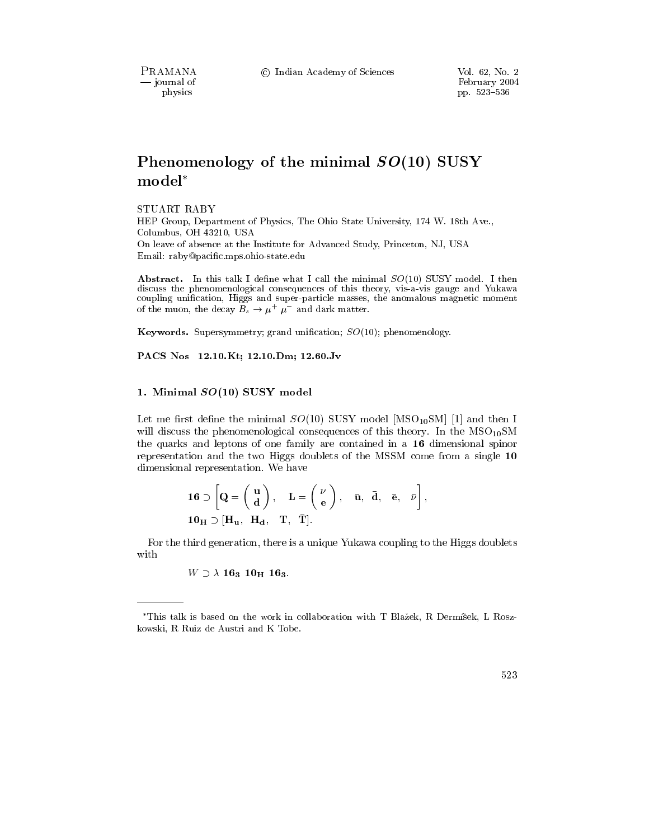PRAMANA - journal of physics

© Indian Academy of Sciences

# Phenomenology of the minimal  $SO(10)$  SUSY  $model<sup>*</sup>$

STUART RABY

HEP Group, Department of Physics, The Ohio State University, 174 W. 18th Ave., Columbus, OH 43210, USA On leave of absence at the Institute for Advanced Study, Princeton, NJ, USA Email: raby@pacific.mps.ohio-state.edu

Abstract. In this talk I define what I call the minimal  $SO(10)$  SUSY model. I then discuss the phenomenological consequences of this theory, vis-a-vis gauge and Yukawa coupling unification, Higgs and super-particle masses, the anomalous magnetic moment of the muon, the decay  $B_s \to \mu^+ \mu^-$  and dark matter.

**Keywords.** Supersymmetry; grand unification;  $SO(10)$ ; phenomenology.

PACS Nos 12.10.Kt; 12.10.Dm; 12.60.Jv

### 1. Minimal  $SO(10)$  SUSY model

Let me first define the minimal  $SO(10)$  SUSY model [MSO<sub>10</sub>SM] [1] and then I will discuss the phenomenological consequences of this theory. In the  $MSO_{10}SM$ the quarks and leptons of one family are contained in a 16 dimensional spinor representation and the two Higgs doublets of the MSSM come from a single 10 dimensional representation. We have

$$
\mathbf{16} \supset \begin{bmatrix} \mathbf{Q} = \begin{pmatrix} \mathbf{u} \\ \mathbf{d} \end{pmatrix}, \quad \mathbf{L} = \begin{pmatrix} \nu \\ \mathbf{e} \end{pmatrix}, \quad \bar{\mathbf{u}}, \quad \bar{\mathbf{d}}, \quad \bar{\mathbf{e}}, \quad \bar{\nu} \end{bmatrix},
$$

$$
\mathbf{10}_{\mathbf{H}} \supset [\mathbf{H}_{\mathbf{u}}, \quad \mathbf{H}_{\mathbf{d}}, \quad \mathbf{T}, \quad \bar{\mathbf{T}}].
$$

For the third generation, there is a unique Yukawa coupling to the Higgs doublets with

 $W \supset \lambda 16_3 10_H 16_3.$ 

<sup>\*</sup>This talk is based on the work in collaboration with T Blažek, R Dermíšek, L Roszkowski, R Ruiz de Austri and K Tobe.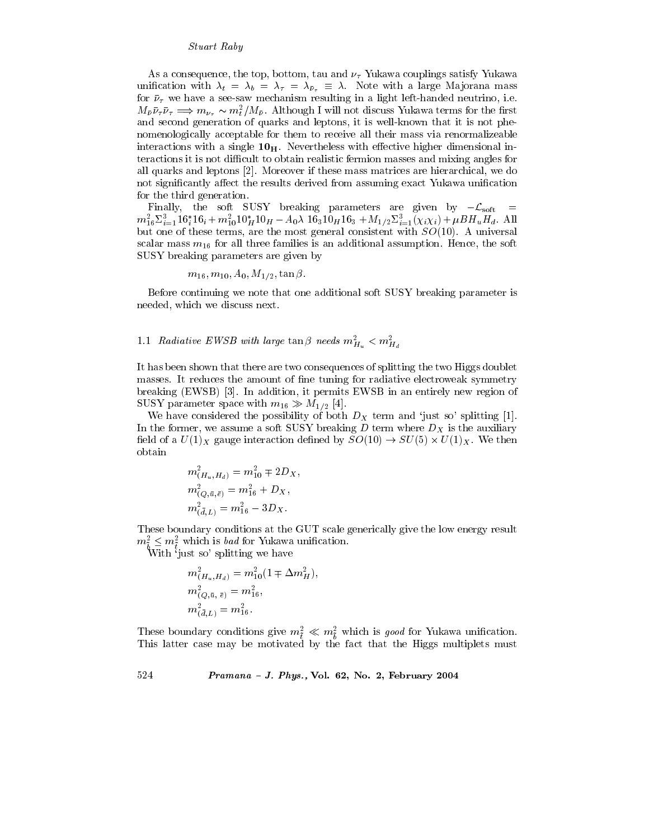As a consequence, the top, bottom, tau and  $\nu_{\tau}$  Yukawa couplings satisfy Yukawa unification with  $\lambda_t = \lambda_b = \lambda_\tau = \lambda_{\bar{\nu}_\tau} \equiv \lambda$ . Note with a large Majorana mass for  $\bar{\nu}_{\tau}$  we have a see-saw mechanism resulting in a light left-handed neutrino, i.e.  $M_{\bar{\nu}}\bar{\nu}_{\tau}\bar{\nu}_{\tau} \implies m_{\nu_{\tau}} \sim m_t^2/M_{\bar{\nu}}$ . Although I will not discuss Yukawa terms for the first and second generation of quarks and leptons, it is well-known that it is not phenomenologically acceptable for them to receive all their mass via renormalizeable interactions with a single  $10<sub>H</sub>$ . Nevertheless with effective higher dimensional interactions it is not difficult to obtain realistic fermion masses and mixing angles for all quarks and leptons [2]. Moreover if these mass matrices are hierarchical, we do not significantly affect the results derived from assuming exact Yukawa unification for the third generation.

Finally, the soft SUSY breaking parameters are given by  $-\mathcal{L}_{soft}$  $m_{16}^2 \Sigma_{i=1}^3 16_i^* 16_i + m_{10}^2 10_H^* 10_H - A_0 \lambda 16_3 10_H 16_3 + M_{1/2} \Sigma_{i=1}^3 (\chi_i \chi_i) + \mu B H_u H_d$ . All but one of these terms, are the most general consistent with  $SO(10)$ . A universal scalar mass  $m_{16}$  for all three families is an additional assumption. Hence, the soft SUSY breaking parameters are given by

$$
m_{16}, m_{10}, A_0, M_{1/2}, \tan \beta
$$
.

Before continuing we note that one additional soft SUSY breaking parameter is needed, which we discuss next.

## 1.1 Radiative EWSB with large  $\tan \beta$  needs  $m_{H_u}^2 < m_{H_d}^2$

It has been shown that there are two consequences of splitting the two Higgs doublet masses. It reduces the amount of fine tuning for radiative electroweak symmetry breaking (EWSB) [3]. In addition, it permits EWSB in an entirely new region of SUSY parameter space with  $m_{16} \gg M_{1/2}$  [4].

We have considered the possibility of both  $D<sub>X</sub>$  term and 'just so' splitting [1]. In the former, we assume a soft SUSY breaking  $D$  term where  $D_X$  is the auxiliary field of a  $U(1)_X$  gauge interaction defined by  $SO(10) \rightarrow SU(5) \times U(1)_X$ . We then obtain

$$
m_{(H_u, H_d)}^2 = m_{10}^2 \mp 2D_X
$$
  
\n
$$
m_{(Q, \bar{u}, \bar{e})}^2 = m_{16}^2 + D_X,
$$
  
\n
$$
m_{(\bar{d}, L)}^2 = m_{16}^2 - 3D_X.
$$

These boundary conditions at the GUT scale generically give the low energy result  $m_{\tilde{b}}^2 \leq m_{\tilde{t}}^2$  which is *bad* for Yukawa unification.<br>With 'just so' splitting we have

$$
m_{(H_u, H_d)}^2 = m_{10}^2 (1 \mp \Delta m_H^2),
$$
  
\n
$$
m_{(Q, \bar{u}, \bar{e})}^2 = m_{16}^2,
$$
  
\n
$$
m_{(\bar{d}, L)}^2 = m_{16}^2.
$$

These boundary conditions give  $m_{\tilde{t}}^2 \ll m_{\tilde{h}}^2$  which is good for Yukawa unification. This latter case may be motivated by the fact that the Higgs multiplets must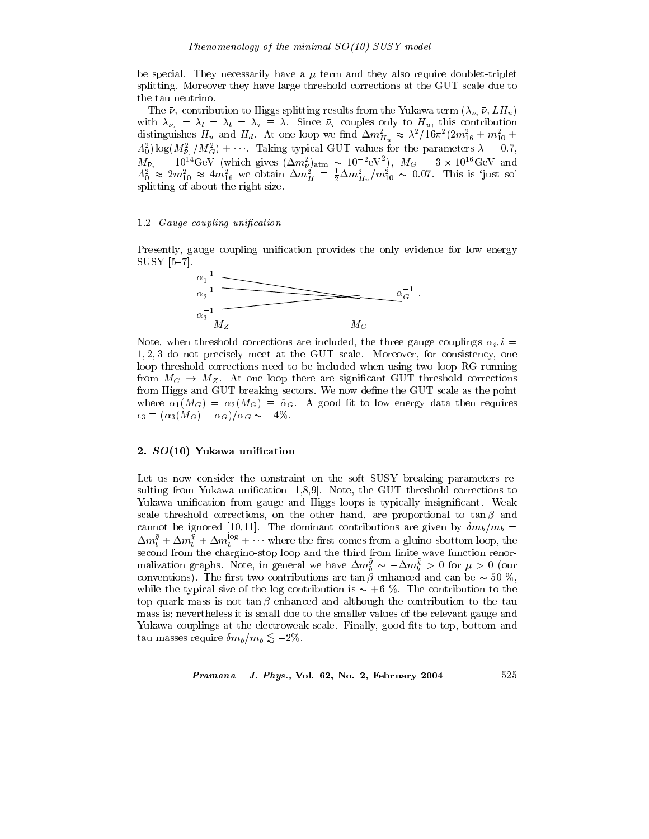be special. They necessarily have a  $\mu$  term and they also require doublet-triplet splitting. Moreover they have large threshold corrections at the GUT scale due to the tau neutrino.

The  $\bar{\nu}_{\tau}$  contribution to Higgs splitting results from the Yukawa term  $(\lambda_{\nu_{\tau}}\bar{\nu}_{\tau} L H_u)$ with  $\lambda_{\nu_{\tau}} = \lambda_t = \lambda_b = \lambda_{\tau} \equiv \lambda$ . Since  $\bar{\nu}_{\tau}$  couples only to  $H_u$ , this contribution distinguishes  $H_u$  and  $H_d$ . At one loop we find  $\Delta m_{H_u}^2 \approx \lambda^2/16\pi^2(2m_{16}^2 + m_{10}^2 +$  $A_0^2$ )  $\log(M_{\bar{\nu}_\tau}^2/M_G^2)$  + .... Taking typical GUT values for the parameters  $\lambda = 0.7$ ,  $M_{\bar{\nu}_{\tau}} = 10^{14} \text{GeV}$  (which gives  $(\Delta m_{\nu}^2)_{\text{atm}} \sim 10^{-2} \text{eV}^2$ ),  $M_G = 3 \times 10^{16} \text{GeV}$  and  $A_0^2 \approx 2 m_{10}^2 \approx 4 m_{16}^2$  we obtain  $\Delta m_H^2 \equiv \frac{1}{2} \Delta m_{H_u}^2/m_{10}^2 \sim 0.07$ . This is 'just so' splitting of about the right size.

#### 1.2 Gauge coupling unification

Presently, gauge coupling unification provides the only evidence for low energy  $SUSY$  [5-7].



Note, when threshold corrections are included, the three gauge couplings  $\alpha_i, i =$ 1,2,3 do not precisely meet at the GUT scale. Moreover, for consistency, one loop threshold corrections need to be included when using two loop RG running from  $M_G \to M_Z$ . At one loop there are significant GUT threshold corrections from Higgs and GUT breaking sectors. We now define the GUT scale as the point where  $\alpha_1(M_G) = \alpha_2(M_G) \equiv \tilde{\alpha}_G$ . A good fit to low energy data then requires  $\epsilon_3 \equiv (\alpha_3(M_G) - \tilde{\alpha}_G)/\tilde{\alpha}_G \sim -4\%.$ 

#### 2. SO(10) Yukawa unification

Let us now consider the constraint on the soft SUSY breaking parameters resulting from Yukawa unification [1,8,9]. Note, the GUT threshold corrections to Yukawa unification from gauge and Higgs loops is typically insignificant. Weak scale threshold corrections, on the other hand, are proportional to  $\tan \beta$  and cannot be ignored [10,11]. The dominant contributions are given by  $\delta m_b/m_b =$  $\Delta m_b^{\bar{g}} + \Delta m_b^{\bar{\chi}} + \Delta m_b^{\log} + \cdots$  where the first comes from a gluino-sbottom loop, the second from the chargino-stop loop and the third from finite wave function renormalization graphs. Note, in general we have  $\Delta m_h^{\bar{g}} \sim -\Delta m_h^{\bar{\chi}} > 0$  for  $\mu > 0$  (our conventions). The first two contributions are  $\tan \beta$  enhanced and can be  $\sim 50$  %, while the typical size of the log contribution is  $\sim +6$  %. The contribution to the top quark mass is not  $\tan \beta$  enhanced and although the contribution to the tau mass is; nevertheless it is small due to the smaller values of the relevant gauge and Yukawa couplings at the electroweak scale. Finally, good fits to top, bottom and tau masses require  $\delta m_b/m_b \lesssim -2\%$ .

$$
Pramana - J. Phys., Vol. 62, No. 2, February 2004 \qquad 525
$$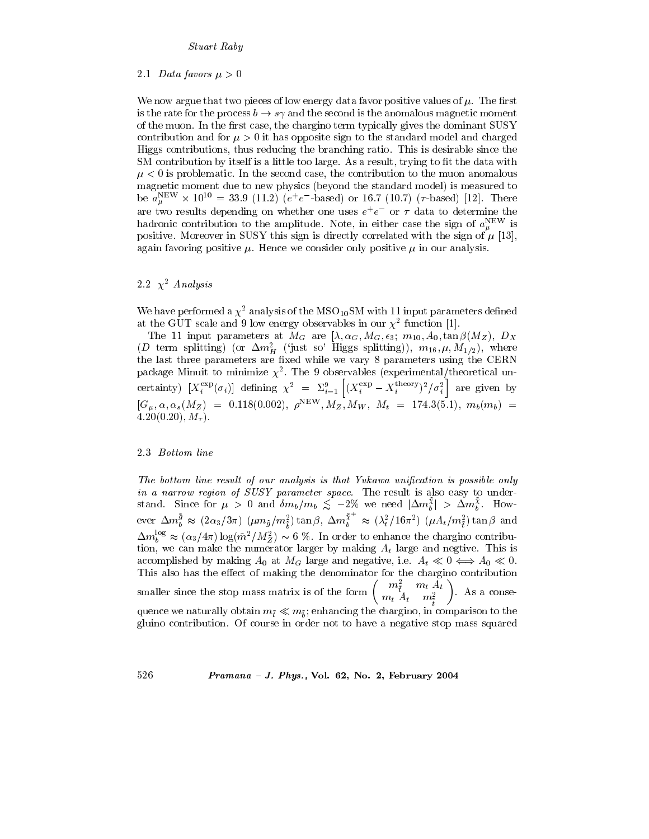#### 2.1 Data favors  $\mu > 0$

We now argue that two pieces of low energy data favor positive values of  $\mu$ . The first is the rate for the process  $b \to s\gamma$  and the second is the anomalous magnetic moment of the muon. In the first case, the chargino term typically gives the dominant SUSY contribution and for  $\mu > 0$  it has opposite sign to the standard model and charged Higgs contributions, thus reducing the branching ratio. This is desirable since the SM contribution by itself is a little too large. As a result, trying to fit the data with  $\mu < 0$  is problematic. In the second case, the contribution to the muon anomalous magnetic moment due to new physics (beyond the standard model) is measured to be  $a_n^{\text{NEW}} \times 10^{10} = 33.9$  (11.2) ( $e^+e^-$ -based) or 16.7 (10.7) ( $\tau$ -based) [12]. There are two results depending on whether one uses  $e^+e^-$  or  $\tau$  data to determine the hadronic contribution to the amplitude. Note, in either case the sign of  $a_{\mu}^{\text{NEW}}$  is positive. Moreover in SUSY this sign is directly correlated with the sign of  $\mu$  [13], again favoring positive  $\mu$ . Hence we consider only positive  $\mu$  in our analysis.

## 2.2  $\chi^2$  Analysis

We have performed a  $\chi^2$  analysis of the MSO<sub>10</sub>SM with 11 input parameters defined at the GUT scale and 9 low energy observables in our  $\chi^2$  function [1].

The 11 input parameters at  $M_G$  are  $[\lambda, \alpha_G, M_G, \epsilon_3; m_{10}, A_0, \tan \beta(M_Z), D_X]$ <br>(*D* term splitting) (or  $\Delta m_H^2$  ('just so' Higgs splitting)),  $m_{16}, \mu, M_{1/2}$ , where the last three parameters are fixed while we vary 8 parameters using the CERN package Minuit to minimize  $\chi^2$ . The 9 observables (experimental/theoretical uncertainty)  $[X_i^{\exp}(\sigma_i)]$  defining  $\chi^2 = \Sigma_{i=1}^9 \left[ (X_i^{\exp} - X_i^{\text{theory}})^2 / \sigma_i^2 \right]$  are given by  $[G_{\mu}, \alpha, \alpha_s(M_Z) = 0.118(0.002), \rho^{NEW}, M_Z, M_W, M_t = 174.3(5.1), m_b(m_b) =$  $4.20(0.20), M<sub>\tau</sub>$ ).

### 2.3 Bottom line

526

The bottom line result of our analysis is that Yukawa unification is possible only in a narrow region of SUSY parameter space. The result is also easy to understand. Since for  $\mu > 0$  and  $\delta m_b/m_b \lesssim -2\%$  we need  $|\Delta m_b^{\chi}| > \Delta m_b^{\chi}$ . However  $\Delta m_b^{\bar{g}} \approx (2\alpha_3/3\pi)$   $(\mu m_{\bar{g}}/m_{\bar{g}}^2) \tan \beta$ ,  $\Delta m_b^{\bar{\chi}^+} \approx (\lambda_t^2/16\pi^2)$   $(\mu A_t/m_{\bar{f}}^2) \tan \beta$  and  $\Delta m_b^{\log} \approx (\alpha_3/4\pi) \log(\tilde{m}^2/M_Z^2) \sim 6$  %. In order to enhance the chargino contribution, we can make the numerator larger by making  $A_t$  large and negtive. This is accomplished by making  $A_0$  at  $M_G$  large and negative, i.e.  $A_t \ll 0 \iff A_0 \ll 0$ . This also has the effect of making the denominator for the chargino contribution<br>smaller since the stop mass matrix is of the form  $\begin{pmatrix} m_{\tilde{t}}^2 & m_t A_t \\ m_t A_t & m_{\tilde{t}}^2 \end{pmatrix}$ . As a consequence we naturally obtain  $m_{\tilde{t}} \ll m_{\tilde{h}}$ ; enhancing the chargino, in comparison to the gluino contribution. Of course in order not to have a negative stop mass squared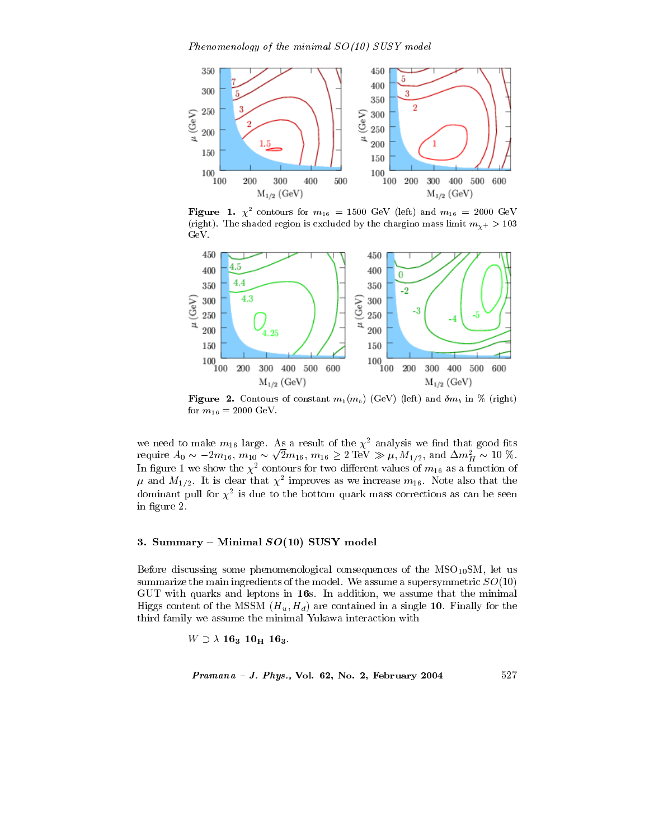Phenomenology of the minimal  $SO(10)$  SUSY model



Figure 1.  $\chi^2$  contours for  $m_{16} = 1500$  GeV (left) and  $m_{16} = 2000$  GeV (right). The shaded region is excluded by the chargino mass limit  $m_{\gamma+} > 103$  $GeV.$ 



**Figure 2.** Contours of constant  $m_b(m_b)$  (GeV) (left) and  $\delta m_b$  in % (right) for  $m_{16} = 2000 \text{ GeV}$ .

we need to make  $m_{16}$  large. As a result of the  $\chi^2$  analysis we find that good fits<br>require  $A_0 \sim -2m_{16}$ ,  $m_{10} \sim \sqrt{2}m_{16}$ ,  $m_{16} \ge 2 \text{ TeV} \gg \mu$ ,  $M_{1/2}$ , and  $\Delta m_H^2 \sim 10 \%$ .<br>In figure 1 we show the  $\chi^2$  co dominant pull for  $\chi^2$  is due to the bottom quark mass corrections as can be seen in figure 2.

### 3. Summary – Minimal  $SO(10)$  SUSY model

Before discussing some phenomenological consequences of the  $MSO_{10}SM$ , let us summarize the main ingredients of the model. We assume a supersymmetric  $SO(10)$ GUT with quarks and leptons in 16s. In addition, we assume that the minimal Higgs content of the MSSM  $(H_u, H_d)$  are contained in a single 10. Finally for the third family we assume the minimal Yukawa interaction with

 $W \supset \lambda 16_3 10_{\rm H} 16_3.$ 

$$
Pramana - J. Phys., Vol. 62, No. 2, February 2004 \qquad 527
$$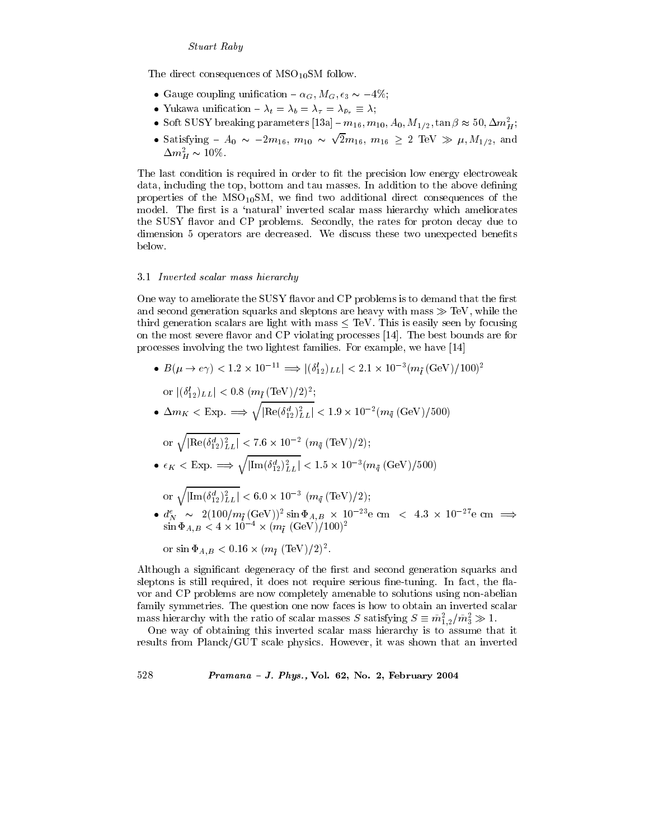The direct consequences of  $\rm{MSO_{10}SM}$  follow.

- Gauge coupling unification  $\alpha_G$ ,  $M_G$ ,  $\epsilon_3 \sim -4\%$ ;
- Yukawa unification  $-\lambda_t = \lambda_b = \lambda_\tau = \lambda_{\bar{\nu}_\tau} \equiv \lambda;$
- Soft SUSY breaking parameters [13a]  $-m_{16}, m_{10}, A_0, M_{1/2}, \tan \beta \approx 50, \Delta m_H^2$ ;
- Satisfying  $A_0 \sim -2m_{16}$ ,  $m_{10} \sim \sqrt{2}m_{16}$ ,  $m_{16} \geq 2 \text{ TeV} \gg \mu$ ,  $M_{1/2}$ , and  $\Delta m_H^2 \sim 10\%.$

The last condition is required in order to fit the precision low energy electroweak data, including the top, bottom and tau masses. In addition to the above defining properties of the  $MSO_{10}SM$ , we find two additional direct consequences of the model. The first is a 'natural' inverted scalar mass hierarchy which ameliorates the SUSY flavor and CP problems. Secondly, the rates for proton decay due to dimension 5 operators are decreased. We discuss these two unexpected benefits below.

#### 3.1 Inverted scalar mass hierarchy

One way to ameliorate the SUSY flavor and CP problems is to demand that the first and second generation squarks and sleptons are heavy with mass  $\gg$  TeV, while the third generation scalars are light with mass  $\leq$  TeV. This is easily seen by focusing on the most severe flavor and CP violating processes [14]. The best bounds are for processes involving the two lightest families. For example, we have [14]

- $B(\mu \to e \gamma) < 1.2 \times 10^{-11} \Longrightarrow |(\delta_{12}^l)_{LL}| < 2.1 \times 10^{-3} (m_{\tilde{l}} \text{ (GeV)} / 100)^2$ 
	- or  $|(\delta_{12}^l)_{LL}| < 0.8$   $(m_{\tilde{l}} (\text{TeV})/2)^2$ ;
- $\Delta m_K < E_{\rm XP.} \implies \sqrt{\left|{\rm Re}(\delta_{12}^d)_{LL}^2\right|} < 1.9 \times 10^{-2} (m_{\tilde{q}}~({\rm GeV})/500)$

or 
$$
\sqrt{|\text{Re}(\delta_{12}^d)_{LL}^2|} < 7.6 \times 10^{-2} \ (m_{\tilde{q}} \, (\text{TeV})/2);
$$

•  $\epsilon_K <$  Exp.  $\Longrightarrow \sqrt{\left|{\rm Im}(\delta_{12}^d)^2_{LL}\right|} < 1.5 \times 10^{-3} (m_{\bar{q}} \, (\rm GeV)/500)$ 

or 
$$
\sqrt{\left|\text{Im}(\delta_{12}^d)_{LL}^2\right|} < 6.0 \times 10^{-3} \left(m_{\bar{q}} \left(\text{TeV}\right)/2\right);
$$

 $\bullet$   $d^e_N \sim 2(100/m_{\tilde{l}}\,(\rm{GeV}))^2 \sin{\Phi_{A,B}} \times 10^{-23} e~\rm{cm}~<~4.3~\times~10^{-27} e~\rm{cm}~\Longrightarrow~\sin{\Phi_{A,B}} < 4\times 10^{-4} \times (m_{\tilde{l}}~(\rm{GeV})/100)^2$ 

or 
$$
\sin \Phi_{A,B} < 0.16 \times (m_{\tilde{l}} \text{ (TeV)}/2)^2
$$
.

Although a significant degeneracy of the first and second generation squarks and sleptons is still required, it does not require serious fine-tuning. In fact, the flavor and CP problems are now completely amenable to solutions using non-abelian family symmetries. The question one now faces is how to obtain an inverted scalar mass hierarchy with the ratio of scalar masses S satisfying  $S \equiv \tilde{m}_{1,2}^2 / \tilde{m}_3^2 \gg 1$ .

One way of obtaining this inverted scalar mass hierarchy is to assume that it results from Planck/GUT scale physics. However, it was shown that an inverted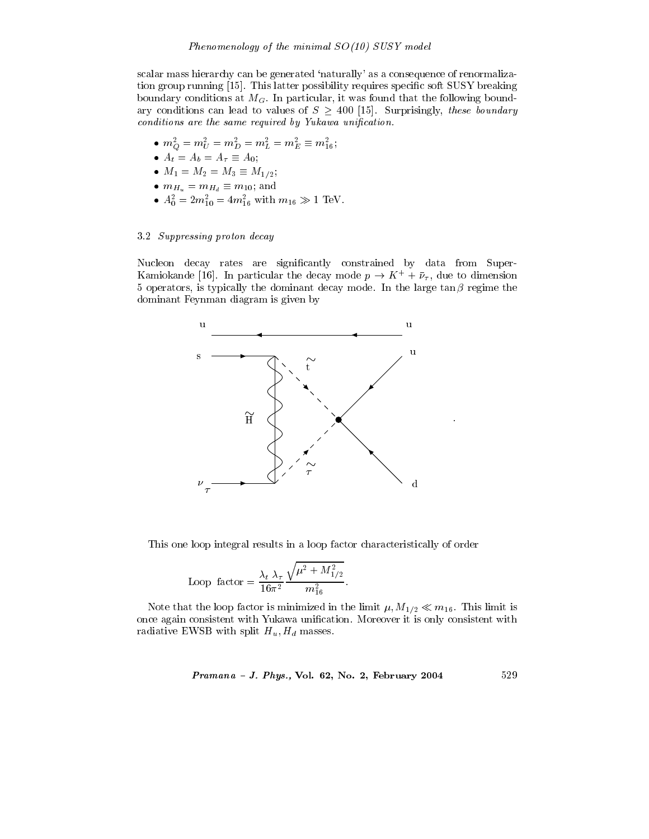scalar mass hierarchy can be generated 'naturally' as a consequence of renormalization group running [15]. This latter possibility requires specific soft SUSY breaking boundary conditions at  $M_G$ . In particular, it was found that the following boundary conditions can lead to values of  $S \geq 400$  [15]. Surprisingly, these boundary conditions are the same required by Yukawa unification.

- $\begin{array}{ll} \bullet \,\, m_Q^2 = m_U^2 = m_D^2 = m_L^2 = m_E^2 \equiv m_{16}^2;\\ \bullet \,\, A_t = A_b = A_\tau \equiv A_0; \end{array}$
- 
- $M_1 = M_2 = M_3 \equiv M_{1/2};$
- $m_{H_u} = m_{H_d} \equiv m_{10}$ ; and
- $A_0^2 = 2m_{10}^2 = 4m_{16}^2$  with  $m_{16} \gg 1$  TeV.

#### 3.2 Suppressing proton decay

Nucleon decay rates are significantly constrained by data from Super-Kamiokande [16]. In particular the decay mode  $p \to K^+ + \bar{\nu}_{\tau}$ , due to dimension 5 operators, is typically the dominant decay mode. In the large  $\tan \beta$  regime the dominant Feynman diagram is given by



This one loop integral results in a loop factor characteristically of order

Loop factor = 
$$
\frac{\lambda_t \lambda_\tau}{16\pi^2} \frac{\sqrt{\mu^2 + M_{1/2}^2}}{m_{16}^2}.
$$

Note that the loop factor is minimized in the limit  $\mu$ ,  $M_{1/2} \ll m_{16}$ . This limit is once again consistent with Yukawa unification. Moreover it is only consistent with radiative EWSB with split  $H_u, H_d$  masses.

*Pramana - J. Phys.*, Vol. 62, No. 2, February 2004 
$$
529
$$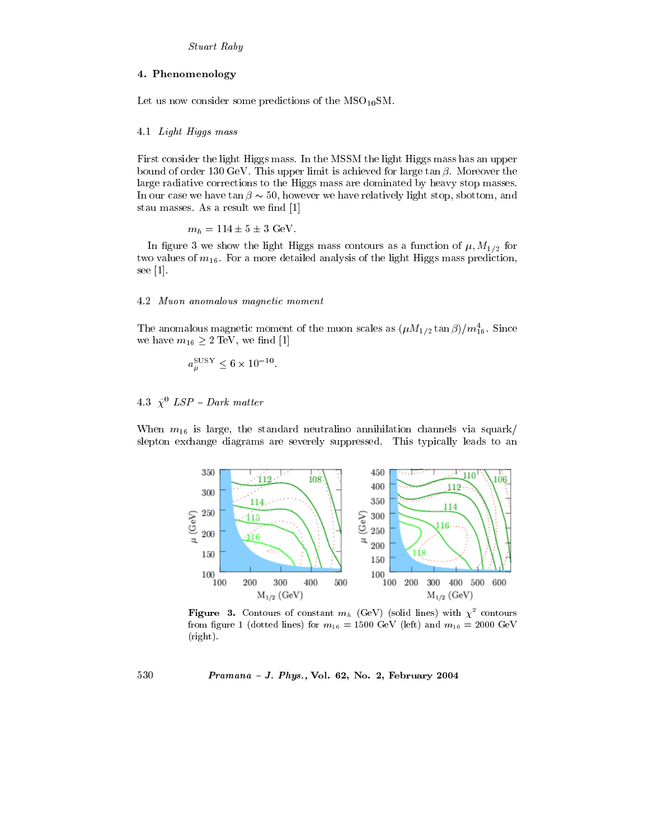### 4. Phenomenology

Let us now consider some predictions of the  $MSO_{10}SM$ .

#### 4.1 Light Higgs mass

First consider the light Higgs mass. In the MSSM the light Higgs mass has an upper bound of order 130 GeV. This upper limit is achieved for large  $\tan \beta$ . Moreover the large radiative corrections to the Higgs mass are dominated by heavy stop masses. In our case we have tan  $\beta \sim 50$ , however we have relatively light stop, sbottom, and stau masses. As a result we find [1]

$$
m_h = 114 \pm 5 \pm 3
$$
 GeV.

In figure 3 we show the light Higgs mass contours as a function of  $\mu$ ,  $M_{1/2}$  for two values of  $m_{16}$ . For a more detailed analysis of the light Higgs mass prediction, see  $[1]$ .

#### 4.2 Muon anomalous magnetic moment

The anomalous magnetic moment of the muon scales as  $(\mu M_{1/2} \tan \beta)/m_{16}^4$ . Since we have  $m_{16} \geq 2 \text{ TeV}$ , we find [1]

$$
a_{\mu}^{\rm SUSY} \le 6 \times 10^{-10}
$$

### 4.3  $\tilde{\chi}^0$  LSP - Dark matter

When  $m_{16}$  is large, the standard neutralino annihilation channels via squark/ slepton exchange diagrams are severely suppressed. This typically leads to an



**Figure 3.** Contours of constant  $m_h$  (GeV) (solid lines) with  $\chi^2$  contours from figure 1 (dotted lines) for  $m_{16} = 1500 \text{ GeV}$  (left) and  $m_{16} = 2000 \text{ GeV}$  $(right).$ 

### Pramana - J. Phys., Vol. 62, No. 2, February 2004

530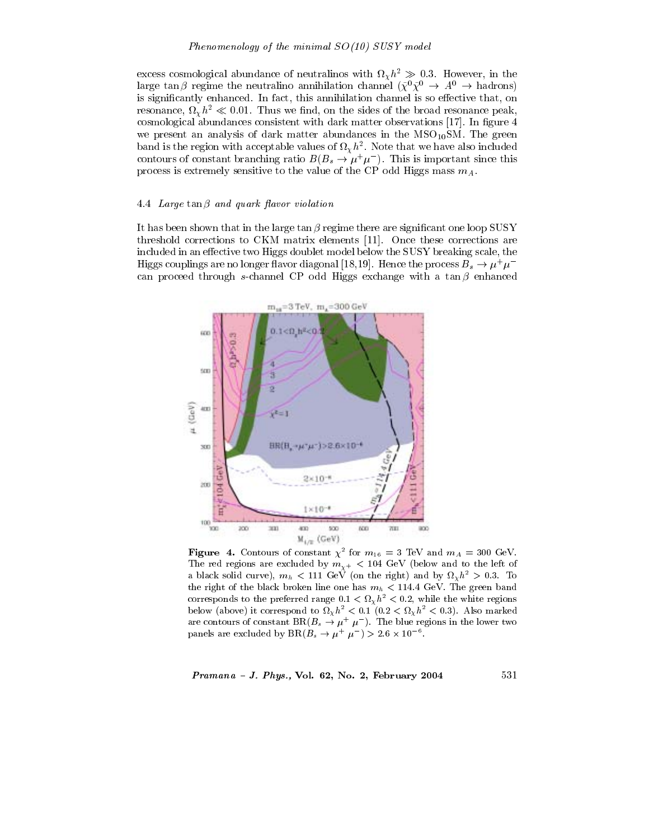excess cosmological abundance of neutralinos with  $\Omega_{\chi} h^2 \gg 0.3$ . However, in the large tan  $\beta$  regime the neutralino annihilation channel  $(\tilde{\chi}^0 \tilde{\chi}^0 \to A^0 \to \text{hadrons})$ is significantly enhanced. In fact, this annihilation channel is so effective that, on resonance,  $\Omega_{\chi} h^2 \ll 0.01$ . Thus we find, on the sides of the broad resonance peak, cosmological abundances consistent with dark matter observations [17]. In figure 4 we present an analysis of dark matter abundances in the  $MSO_{10}SM$ . The green band is the region with acceptable values of  $\Omega_{\chi} h^2$ . Note that we have also included contours of constant branching ratio  $B(B_s \to \mu^+ \mu^-)$ . This is important since this process is extremely sensitive to the value of the CP odd Higgs mass  $m_A$ .

#### 4.4 Large tan  $\beta$  and quark flavor violation

It has been shown that in the large  $\tan \beta$  regime there are significant one loop SUSY threshold corrections to CKM matrix elements [11]. Once these corrections are included in an effective two Higgs doublet model below the SUSY breaking scale, the Higgs couplings are no longer flavor diagonal [18,19]. Hence the process  $B_s \to \mu^+\mu^$ can proceed through s-channel CP odd Higgs exchange with a  $\tan \beta$  enhanced



**Figure 4.** Contours of constant  $\chi^2$  for  $m_{16} = 3$  TeV and  $m_A = 300$  GeV. The red regions are excluded by  $m_{\chi^+}$  < 104 GeV (below and to the left of a black solid curve),  $m_h$  < 111 GeV (on the right) and by  $\Omega_\chi h^2 > 0.3$ . To the right of the black broken line one has  $m_h < 114.4$  GeV. The green band corresponds to the preferred range  $0.1 < \Omega_{\chi} h^2 < 0.2$ , while the white regions below (above) it correspond to  $\Omega_{\chi} h^2 < 0.1$  (0.2  $\langle \Omega_{\chi} h^2 \rangle < 0.3$ ). Also marked are contours of constant BR( $B_s \to \mu^+ \mu^-$ ). The blue regions in the lower two panels are excluded by  $BR(B_s \to \mu^+ \ \mu^-) > 2.6 \times 10^{-6}$ .

Pramana - J. Phys., Vol. 62, No. 2, February 2004

531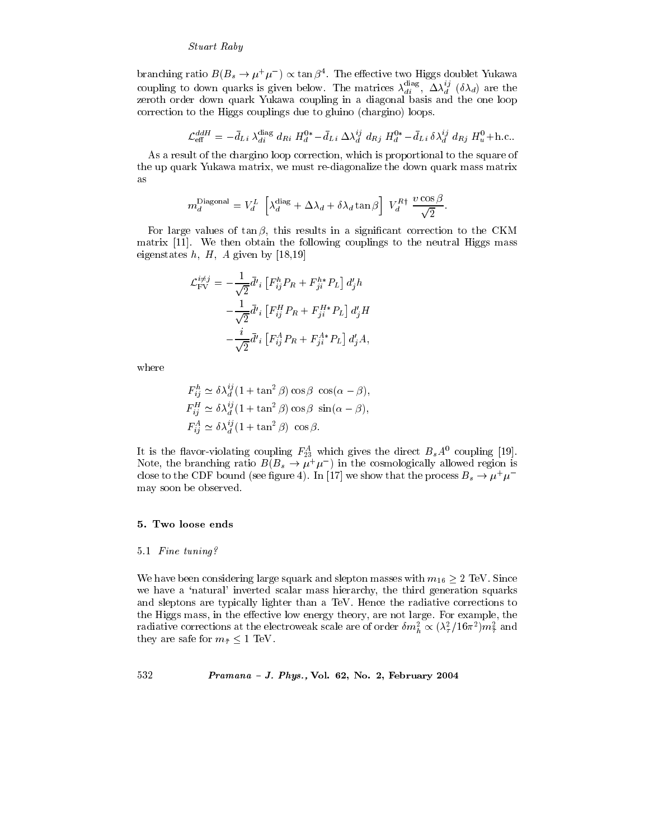branching ratio  $B(B_s \to \mu^+\mu^-) \propto \tan \beta^4$ . The effective two Higgs doublet Yukawa coupling to down quarks is given below. The matrices  $\lambda_{di}^{\text{diag}}$ ,  $\Delta \lambda_d^{ij}$  ( $\delta \lambda_d$ ) are the zeroth order down quark Yukawa coupling in a diagonal basis and the one loop correction to the Higgs couplings due to gluino (chargino) loops.

$$
\mathcal{L}_{\text{eff}}^{ddH} = -\bar{d}_{Li} \,\lambda_{di}^{\text{diag}} \, d_{Ri} \, H_d^{0*} - \bar{d}_{Li} \, \Delta \lambda_d^{ij} \, d_{Rj} \, H_d^{0*} - \bar{d}_{Li} \, \delta \lambda_d^{ij} \, d_{Rj} \, H_u^{0} + \text{h.c.}
$$

As a result of the chargino loop correction, which is proportional to the square of the up quark Yukawa matrix, we must re-diagonalize the down quark mass matrix as

$$
m_d^{\text{Diagonal}} = V_d^L \left[ \lambda_d^{\text{diag}} + \Delta \lambda_d + \delta \lambda_d \tan \beta \right] V_d^{R\dagger} \frac{v \cos \beta}{\sqrt{2}}
$$

For large values of  $tan \beta$ , this results in a significant correction to the CKM matrix  $[11]$ . We then obtain the following couplings to the neutral Higgs mass eigenstates  $h, H, A$  given by [18,19]

$$
\mathcal{L}_{\text{FV}}^{i\neq j} = -\frac{1}{\sqrt{2}} \bar{d'}_i \left[ F_{ij}^h P_R + F_{ji}^{h*} P_L \right] d'_j h \n- \frac{1}{\sqrt{2}} \bar{d'}_i \left[ F_{ij}^H P_R + F_{ji}^{H*} P_L \right] d'_j H \n- \frac{i}{\sqrt{2}} \bar{d'}_i \left[ F_{ij}^A P_R + F_{ji}^{A*} P_L \right] d'_j A,
$$

where

$$
F_{ij}^h \simeq \delta \lambda_d^{ij} (1 + \tan^2 \beta) \cos \beta \cos(\alpha - \beta),
$$
  
\n
$$
F_{ij}^H \simeq \delta \lambda_d^{ij} (1 + \tan^2 \beta) \cos \beta \sin(\alpha - \beta),
$$
  
\n
$$
F_{ij}^A \simeq \delta \lambda_d^{ij} (1 + \tan^2 \beta) \cos \beta.
$$

It is the flavor-violating coupling  $F_{23}^A$  which gives the direct  $B_s A^0$  coupling [19].<br>Note, the branching ratio  $B(B_s \to \mu^+ \mu^-)$  in the cosmologically allowed region is close to the CDF bound (see figure 4). In [17] we show that the process  $B_s \to \mu^+\mu^$ may soon be observed.

#### 5. Two loose ends

#### 5.1 Fine tuning?

We have been considering large squark and slepton masses with  $m_{16} \geq 2$  TeV. Since we have a 'natural' inverted scalar mass hierarchy, the third generation squarks and sleptons are typically lighter than a TeV. Hence the radiative corrections to the Higgs mass, in the effective low energy theory, are not large. For example, the radiative corrections at the electroweak scale are of order  $\delta m_h^2 \propto (\lambda_\tau^2/16\pi^2) m_{\tau}^2$  and they are safe for  $m_{\tilde{\tau}} \leq 1$  TeV.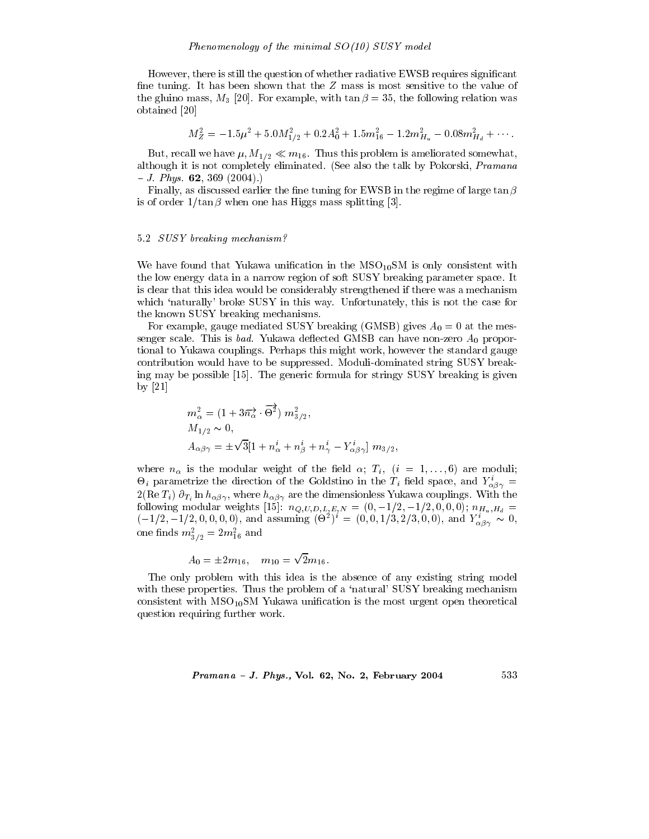However, there is still the question of whether radiative EWSB requires significant fine tuning. It has been shown that the  $Z$  mass is most sensitive to the value of the gluino mass,  $M_3$  [20]. For example, with  $\tan \beta = 35$ , the following relation was obtained [20]

$$
M_Z^2 = -1.5\mu^2 + 5.0M_{1/2}^2 + 0.2A_0^2 + 1.5m_{16}^2 - 1.2m_{H_u}^2 - 0.08m_{H_d}^2 + \cdots
$$

But, recall we have  $\mu$ ,  $M_{1/2} \ll m_{16}$ . Thus this problem is ameliorated somewhat, although it is not completely eliminated. (See also the talk by Pokorski, *Pramana*  $-J. Phys.$  **62**, 369 (2004).

Finally, as discussed earlier the fine tuning for EWSB in the regime of large  $\tan \beta$ is of order  $1/\tan \beta$  when one has Higgs mass splitting [3].

#### 5.2 SUSY breaking mechanism?

We have found that Yukawa unification in the  $MSO<sub>10</sub>SM$  is only consistent with the low energy data in a narrow region of soft SUSY breaking parameter space. It is clear that this idea would be considerably strengthened if there was a mechanism which 'naturally' broke SUSY in this way. Unfortunately, this is not the case for the known SUSY breaking mechanisms.

For example, gauge mediated SUSY breaking (GMSB) gives  $A_0 = 0$  at the messenger scale. This is *bad*. Yukawa deflected GMSB can have non-zero  $A_0$  proportional to Yukawa couplings. Perhaps this might work, however the standard gauge contribution would have to be suppressed. Moduli-dominated string SUSY breaking may be possible [15]. The generic formula for stringy SUSY breaking is given by  $[21]$ 

$$
m_{\alpha}^{2} = (1 + 3\overrightarrow{n_{\alpha}} \cdot \overrightarrow{\Theta^{2}}) m_{3/2}^{2},
$$
  
\n
$$
M_{1/2} \sim 0,
$$
  
\n
$$
A_{\alpha\beta\gamma} = \pm\sqrt{3}[1 + n_{\alpha}^{i} + n_{\beta}^{i} + n_{\gamma}^{i} - Y_{\alpha\beta\gamma}^{i}] m_{3/2};
$$

where  $n_{\alpha}$  is the modular weight of the field  $\alpha$ ;  $T_i$ ,  $(i = 1, \ldots, 6)$  are moduli;  $\Theta_i$  parametrize the direction of the Goldstino in the  $T_i$  field space, and  $Y^i_{\alpha\beta\gamma} =$  $2(\text{Re }T_i)$   $\partial_{T_i} \ln h_{\alpha\beta\gamma}$ , where  $h_{\alpha\beta\gamma}$  are the dimensionless Yukawa couplings. With the following modular weights [15]:  $n_{Q,U,D,L,E,N} = (0,-1/2,-1/2,0,0,0); n_{H_u,H_d}$  $(-1/2, -1/2, 0, 0, 0, 0)$ , and assuming  $(\Theta^2)^i = (0, 0, 1/3, 2/3, 0, 0)$ , and  $Y^i_{\alpha\beta\gamma} \sim 0$ , one finds  $m_{3/2}^2 = 2m_{16}^2$  and

$$
A_0 = \pm 2m_{16}, \quad m_{10} = \sqrt{2}m_{16}
$$

The only problem with this idea is the absence of any existing string model with these properties. Thus the problem of a 'natural' SUSY breaking mechanism consistent with  $MSO_{10}SM$  Yukawa unification is the most urgent open theoretical question requiring further work.

#### $Pramana - J. Phys., Vol. 62, No. 2, February 2004$

533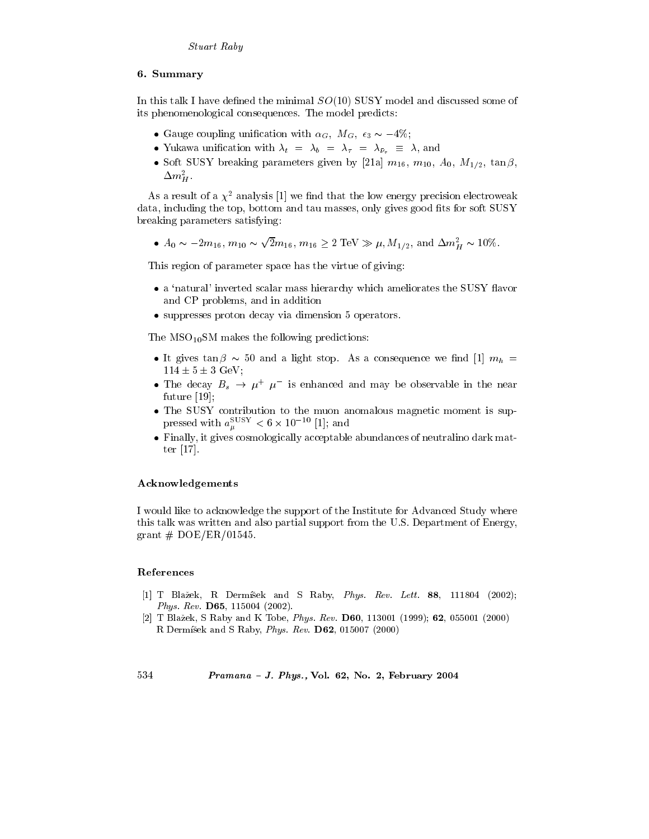## 6. Summary

In this talk I have defined the minimal  $SO(10)$  SUSY model and discussed some of its phenomenological consequences. The model predicts:

- Gauge coupling unification with  $\alpha_G$ ,  $M_G$ ,  $\epsilon_3 \sim -4\%$ ;
- Yukawa unification with  $\lambda_t = \lambda_b = \lambda_{\tau} = \lambda_{\bar{\nu}_{\tau}} \equiv \lambda$ , and
- Soft SUSY breaking parameters given by [21a]  $m_{16}$ ,  $m_{10}$ ,  $A_0$ ,  $M_{1/2}$ ,  $\tan \beta$ ,  $\Delta m_H^2$ .

As a result of a  $\chi^2$  analysis [1] we find that the low energy precision electroweak data, including the top, bottom and tau masses, only gives good fits for soft SUSY breaking parameters satisfying:

•  $A_0 \sim -2m_{16}$ ,  $m_{10} \sim \sqrt{2}m_{16}$ ,  $m_{16} \ge 2 \text{ TeV} \gg \mu$ ,  $M_{1/2}$ , and  $\Delta m_H^2 \sim 10\%$ .

This region of parameter space has the virtue of giving:

- a 'natural' inverted scalar mass hierarchy which ameliorates the SUSY flavor and CP problems, and in addition
- suppresses proton decay via dimension 5 operators.

The  $MSO_{10}SM$  makes the following predictions:

- It gives  $\tan \beta \sim 50$  and a light stop. As a consequence we find [1]  $m_h$  =  $114 \pm 5 \pm 3$  GeV:
- The decay  $B_s \rightarrow \mu^+ \mu^-$  is enhanced and may be observable in the near  $future [19];$
- The SUSY contribution to the muon anomalous magnetic moment is suppressed with  $a_{\mu}^{\rm SUSY} < 6 \times 10^{-10}$  [1]; and
- Finally, it gives cosmologically acceptable abundances of neutralino dark matter  $[17]$ .

### Acknowledgements

I would like to acknowledge the support of the Institute for Advanced Study where this talk was written and also partial support from the U.S. Department of Energy, grant  $# \text{ DOE}/\text{ER}/01545$ .

#### References

- [1] T Blažek, R Dermíšek and S Raby, Phys. Rev. Lett. 88, 111804 (2002); Phys. Rev. D65, 115004 (2002).
- [2] T Blažek, S Raby and K Tobe, Phys. Rev. D60, 113001 (1999); 62, 055001 (2000) R Dermíšek and S Raby, Phys. Rev. D62, 015007 (2000)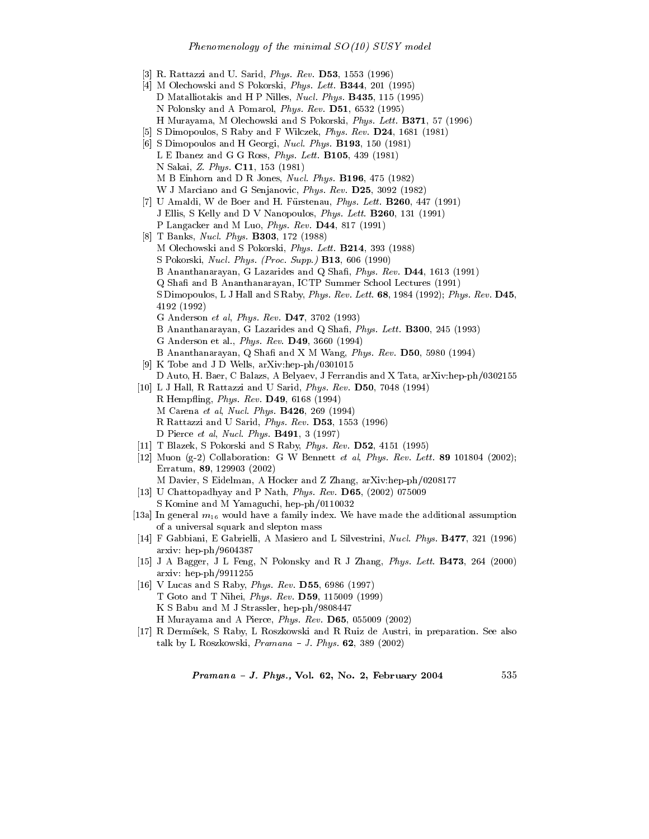- [3] R. Rattazzi and U. Sarid, *Phys. Rev.* **D53**, 1553 (1996)
- [4] M Olechowski and S Pokorski, *Phys. Lett.* **B344**, 201 (1995) D Matalliotakis and H P Nilles, *Nucl. Phus.* **B435**, 115 (1995) \$6 \$ - & 8,LL9 H Murayama, M Olechowski and S Pokorski, *Phys. Lett.* **B371**, 57 (1996)
- JK & A .@6 ! ,/, 8,L/,9
- [6] S Dimopoulos and H Georgi, *Nucl. Phys.* **B193**, 150 (1981) L E Ibanez and G G Ross, *Phys. Lett.* **B105**, 439 (1981) 6 - , 8,L/,9 M B Einhorn and D R Jones, *Nucl. Phys.* **B196**, 475 (1982) . 1 M % + - & L 8,L/9 [7] U Amaldi, W de Boer and H. Fürstenau, *Phys. Lett.* **B260**, 447 (1991) J Ellis, S Kelly and D V Nanopoulos, *Phys. Lett.* **B260**, 131 (1991) \$ D;6 M D - !! /,- 8,LL,9
- [8] T Banks, *Nucl. Phys.* **B303**, 172 (1988)
	- M Olechowski and S Pokorski, *Phys. Lett.* **B214**, 393 (1988)
	- S Pokorski, *Nucl. Phys. (Proc. Supp.)*  $\mathbf{B13}$ , 606 (1990)
	- B Ananthanarayan, G Lazarides and Q Shafi, *Phys. Rev.* **D44**, 1613 (1991)
	- Q Shafi and B Ananthanarayan, ICTP Summer School Lectures (1991)
	- & D 1 " A % ,L/ 8,LL9= !& 4192 (1992)
	- % !( 8,LL 9
	- B Ananthanarayan, G Lazarides and Q Shafi, *Phys. Lett.* **B300**, 245 (1993)
	- G Anderson et al.,  $Phys.$   $Rev.$   $\bf{D49}$ ,  $3660$  (1994)
	- B Ananthanarayan, Q Shafi and X M Wang, *Phys. Rev.*  $D50$ , 5980 (1994)
- [9] K Tobe and J D Wells,  $arXiv:hep-ph/0301015$ D Auto, H. Baer, C Balazs, A Belvaev, J Ferrandis and X Tata, arXiv;hep-ph/0302155
- $|10|$  L J Hall, R Rattazzi and U Sarid, *Phys. Rev.* **D50**, 7048 (1994) A " R; - !) ,/ 8,LL9 M Carena *et al*, *Nucl. Phys.* **B426**, 269 (1994) R Rattazzi and U Sarid, *Phys. Rev.* **D53**, 1553 (1996) D Pierce *et al, Nucl. Phys.*  $\mathbf{B491}$ , 3 (1997)
- J,,K ( >@6 \$66 A & ,, 8,LL9
- $|12|$  Muon (g-2) Collaboration: G W Bennett *et al. Phys. Rev. Lett.* 89 101804 (2002); Erratum, 89, 129903  $(2002)$ 
	- M Davier, S Eidelman, A Hocker and Z Zhang, arXiv:hep-ph/0208177
- $|13|$  U Chattopadhyay and P Nath, *Phys. Rev.* **D65**,  $(2002)$  075009 S Komine and M Yamaguchi, hep-ph/0110032
- [13a] In general  $m_{16}$  would have a family index. We have made the additional assumption of a universal squark and slepton mass
- $|14|$  F Gabbiani, E Gabrielli, A Masiero and L Silvestrini, *Nucl. Phus.* **B477**, 321 (1996) arxiv: hep- $ph/9604387$
- [15] J A Bagger, J L Feng, N Polonsky and R J Zhang, *Phys. Lett.* **B473**, 264 (2000) arxiv: hep- $ph/9911255$
- J,K D A && L/ 8,LL-9 T Goto and T Nihei, *Phys. Rev.*  $\bf{D59}$ , 115009 (1999) K S Babu and M J Strassler, hep-ph/9808447
- $|17|$  R Dermišek, S Raby, L Roszkowski and R Ruiz de Austri, in preparation. See also talk by L Roszkowski, *Pramana – J. Phys.* **62**, 389 (2002)

" M \$ - & L 89

-  - ! <sup>242</sup>